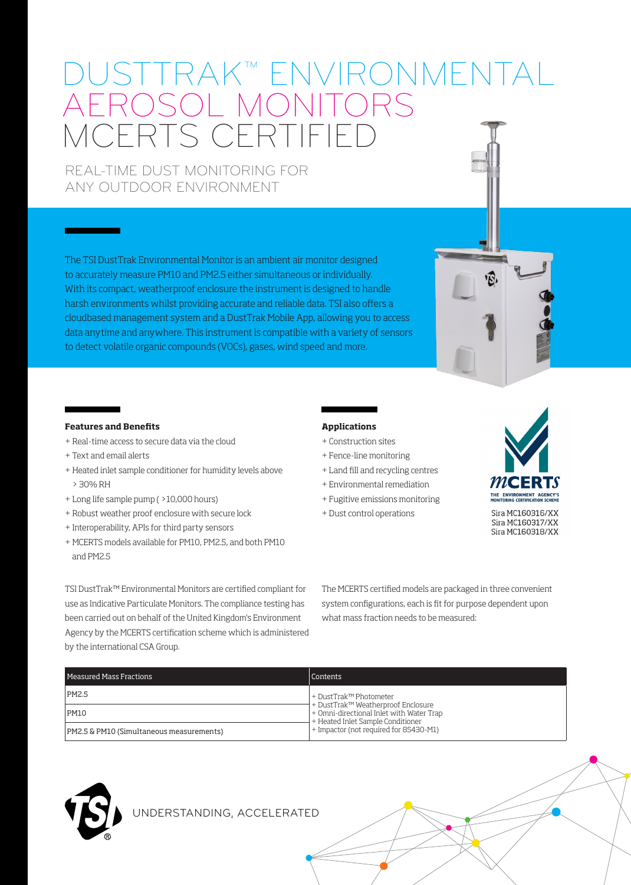# USTTRAK™ ENVIRONMEN AEROSOL MONITORS MCERTS CERTIFIED

REAL-TIME DUST MONITORING FOR ANY OUTDOOR ENVIRONMENT

The TSI DustTrak Environmental Monitor is an ambient air monitor designed to accurately measure PM10 and PM2.5 either simultaneous or individually. With its compact, weatherproof enclosure the instrument is designed to handle harsh environments whilst providing accurate and reliable data. TSI also offers a cloudbased management system and a DustTrak Mobile App, allowing you to access data anytime and anywhere. This instrument is compatible with a variety of sensors to detect volatile organic compounds (VOCs), gases, wind speed and more.

#### **Features and Benefits**

- + Real-time access to secure data via the cloud
- + Text and email alerts
- + Heated inlet sample conditioner for humidity levels above > 30% RH
- + Long life sample pump ( >10,000 hours)
- + Robust weather proof enclosure with secure lock
- + Interoperability, APIs for third party sensors
- + MCERTS models available for PM10, PM2.5, and both PM10 and PM2.5

### **Applications**

- + Construction sites
- + Fence-line monitoring
- + Land fill and recycling centres
- + Environmental remediation
- + Fugitive emissions monitoring
- + Dust control operations



 $\widehat{\mathcal{B}}$ 

Sira MC160316/XX Sira MC160317/XX Sira MC160318/XX

TSI DustTrak™ Environmental Monitors are certified compliant for use as Indicative Particulate Monitors. The compliance testing has been carried out on behalf of the United Kingdom's Environment Agency by the MCERTS certification scheme which is administered by the international CSA Group.

The MCERTS certified models are packaged in three convenient system configurations, each is fit for purpose dependent upon what mass fraction needs to be measured:

| Measured Mass Fractions                  | Contents                                                                                                                                                                                 |
|------------------------------------------|------------------------------------------------------------------------------------------------------------------------------------------------------------------------------------------|
| PM2.5                                    | + DustTrak™ Photometer<br>† DustTrak™ Weatherproof Enclosure<br> + Omni-directional Inlet with Water Trap<br>+ Heated Inlet Sample Conditioner<br>+ Impactor (not required for 85430-M1) |
| PM10                                     |                                                                                                                                                                                          |
| PM2.5 & PM10 (Simultaneous measurements) |                                                                                                                                                                                          |